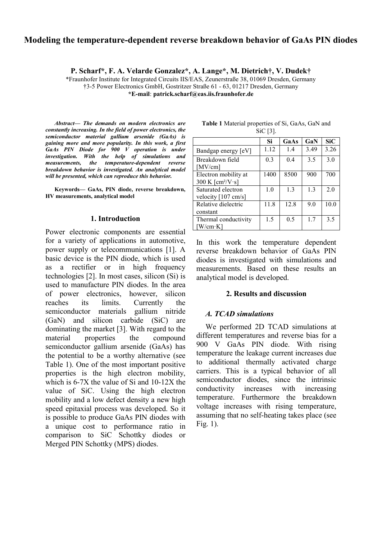# **Modeling the temperature-dependent reverse breakdown behavior of GaAs PIN diodes**

**P. Scharf\*, F. A. Velarde Gonzalez\*, A. Lange\*, M. Dietrich†, V. Dudek†**

\*Fraunhofer Institute for Integrated Circuits IIS/EAS, Zeunerstraße 38, 01069 Dresden, Germany †3-5 Power Electronics GmbH, Gostritzer Straße 61 - 63, 01217 Dresden, Germany **\*E-mail**: **patrick.scharf@eas.iis.fraunhofer.de**

*Abstract***—** *The demands on modern electronics are constantly increasing. In the field of power electronics, the semiconductor material gallium arsenide (GaAs) is gaining more and more popularity. In this work, a first GaAs PIN Diode for 900 V operation is under investigation. With the help of simulations and measurements, the temperature-dependent reverse breakdown behavior is investigated. An analytical model will be presented, which can reproduce this behavior.*

**Keywords— GaAs, PIN diode, reverse breakdown, HV measurements, analytical model**

#### **1. Introduction**

Power electronic components are essential for a variety of applications in automotive, power supply or telecommunications [\[1\].](#page-3-0) A basic device is the PIN diode, which is used as a rectifier or in high frequency technologies [\[2\].](#page-3-1) In most cases, silicon (Si) is used to manufacture PIN diodes. In the area of power electronics, however, silicon reaches its limits. Currently the semiconductor materials gallium nitride (GaN) and silicon carbide (SiC) are dominating the market [\[3\].](#page-3-2) With regard to the material properties the compound semiconductor gallium arsenide (GaAs) has the potential to be a worthy alternative (see [Table 1\)](#page-0-0). One of the most important positive properties is the high electron mobility, which is 6-7X the value of Si and 10-12X the value of SiC. Using the high electron mobility and a low defect density a new high speed epitaxial process was developed. So it is possible to produce GaAs PIN diodes with a unique cost to performance ratio in comparison to SiC Schottky diodes or Merged PIN Schottky (MPS) diodes.

|                                      | Si   | GaAs | GaN  | <b>SiC</b> |
|--------------------------------------|------|------|------|------------|
| Bandgap energy [eV]                  | 1.12 | 1.4  | 3.49 | 3.26       |
| Breakdown field                      | 0.3  | 0.4  | 3.5  | 3.0        |
| [ $MV/cm$ ]                          |      |      |      |            |
| Electron mobility at                 | 1400 | 8500 | 900  | 700        |
| 300 K [cm <sup>2</sup> /V $\cdot$ s] |      |      |      |            |
| Saturated electron                   | 1.0  | 1.3  | 1.3  | 2.0        |
| velocity [107 cm/s]                  |      |      |      |            |
| Relative dielectric                  | 11.8 | 12.8 | 9.0  | 10.0       |
| constant                             |      |      |      |            |
| Thermal conductivity                 | 1.5  | 0.5  | 1.7  | 3.5        |
| [W/cm·K]                             |      |      |      |            |

<span id="page-0-0"></span>**Table 1** Material properties of Si, GaAs, GaN and SiC [\[3\].](#page-3-2)

In this work the temperature dependent reverse breakdown behavior of GaAs PIN diodes is investigated with simulations and measurements. Based on these results an analytical model is developed.

#### **2. Results and discussion**

### *A. TCAD simulations*

We performed 2D TCAD simulations at different temperatures and reverse bias for a 900 V GaAs PIN diode. With rising temperature the leakage current increases due to additional thermally activated charge carriers. This is a typical behavior of all semiconductor diodes, since the intrinsic conductivity increases with increasing temperature. Furthermore the breakdown voltage increases with rising temperature, assuming that no self-heating takes place (see [Fig. 1\)](#page-1-0).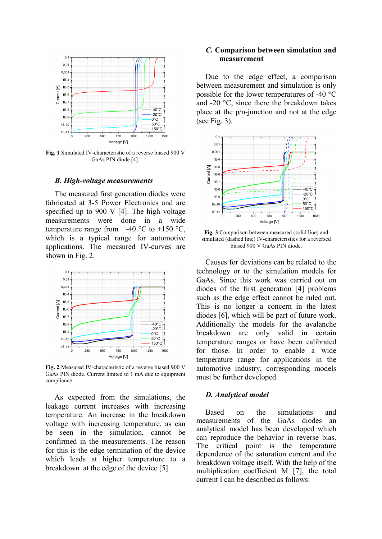

<span id="page-1-0"></span>**Fig. 1** Simulated IV-characteristic of a reverse biased 900 V GaAs PIN diod[e \[4\].](#page-3-3)

#### *B. High-voltage measurements*

The measured first generation diodes were fabricated at 3-5 Power Electronics and are specified up to 900 V [\[4\].](#page-3-3) The high voltage measurements were done in a wide temperature range from  $-40$  °C to  $+150$  °C, which is a typical range for automotive applications. The measured IV-curves are shown in [Fig. 2.](#page-1-1)



<span id="page-1-1"></span>**Fig. 2** Measured IV-characteristic of a reverse biased 900 V GaAs PIN diode. Current limited to 1 mA due to equipment compliance.

As expected from the simulations, the leakage current increases with increasing temperature. An increase in the breakdown voltage with increasing temperature, as can be seen in the simulation, cannot be confirmed in the measurements. The reason for this is the edge termination of the device which leads at higher temperature to a breakdown at the edge of the device [\[5\].](#page-3-4)

## *C.* **Comparison between simulation and measurement**

Due to the edge effect, a comparison between measurement and simulation is only possible for the lower temperatures of -40 °C and -20  $\degree$ C, since there the breakdown takes place at the p/n-junction and not at the edge (see [Fig. 3\)](#page-1-2).



<span id="page-1-2"></span>**Fig. 3** Comparison between measured (solid line) and simulated (dashed line) IV-characteristics for a reversed biased 900 V GaAs PIN diode.

Causes for deviations can be related to the technology or to the simulation models for GaAs. Since this work was carried out on diodes of the first generation [\[4\]](#page-3-3) problems such as the edge effect cannot be ruled out. This is no longer a concern in the latest diodes [\[6\],](#page-3-5) which will be part of future work. Additionally the models for the avalanche breakdown are only valid in certain temperature ranges or have been calibrated for those. In order to enable a wide temperature range for applications in the automotive industry, corresponding models must be further developed.

#### *D. Analytical model*

Based on the simulations and measurements of the GaAs diodes an analytical model has been developed which can reproduce the behavior in reverse bias. The critical point is the temperature dependence of the saturation current and the breakdown voltage itself. With the help of the multiplication coefficient M [\[7\],](#page-3-6) the total current I can be described as follows: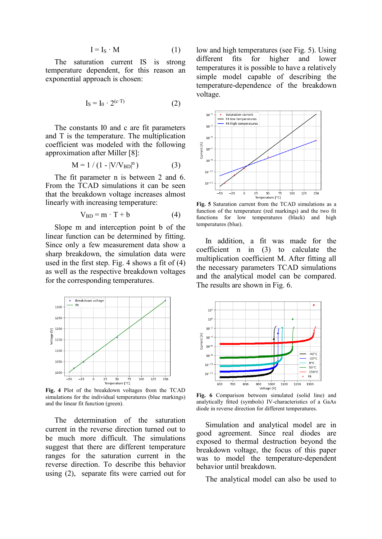$$
I = I_S \cdot M \tag{1}
$$

The saturation current IS is strong temperature dependent, for this reason an exponential approach is chosen:

$$
I_S = I_0 \cdot 2^{(c \cdot T)} \tag{2}
$$

The constants I0 and c are fit parameters and T is the temperature. The multiplication coefficient was modeled with the following approximation after Miller [\[8\]:](#page-3-7)

$$
M = 1 / (1 - |V/V_{BD}|^{n})
$$
 (3)

The fit parameter n is between 2 and 6. From the TCAD simulations it can be seen that the breakdown voltage increases almost linearly with increasing temperature:

$$
V_{BD} = m \cdot T + b \tag{4}
$$

Slope m and interception point b of the linear function can be determined by fitting. Since only a few measurement data show a sharp breakdown, the simulation data were used in the first step. [Fig. 4](#page-2-0) shows a fit of (4) as well as the respective breakdown voltages for the corresponding temperatures.



<span id="page-2-0"></span>**Fig. 4** Plot of the breakdown voltages from the TCAD simulations for the individual temperatures (blue markings) and the linear fit function (green).

The determination of the saturation current in the reverse direction turned out to be much more difficult. The simulations suggest that there are different temperature ranges for the saturation current in the reverse direction. To describe this behavior using (2), separate fits were carried out for low and high temperatures (see [Fig. 5\)](#page-2-1). Using different fits for higher and lower temperatures it is possible to have a relatively simple model capable of describing the temperature-dependence of the breakdown voltage.



<span id="page-2-1"></span>**Fig. 5** Saturation current from the TCAD simulations as a function of the temperature (red markings) and the two fit functions for low temperatures (black) and high temperatures (blue).

In addition, a fit was made for the coefficient n in (3) to calculate the multiplication coefficient M. After fitting all the necessary parameters TCAD simulations and the analytical model can be compared. The results are shown in [Fig. 6.](#page-2-2)



<span id="page-2-2"></span>**Fig. 6** Comparison between simulated (solid line) and analytically fitted (symbols) IV-characteristics of a GaAs diode in reverse direction for different temperatures.

Simulation and analytical model are in good agreement. Since real diodes are exposed to thermal destruction beyond the breakdown voltage, the focus of this paper was to model the temperature-dependent behavior until breakdown.

The analytical model can also be used to